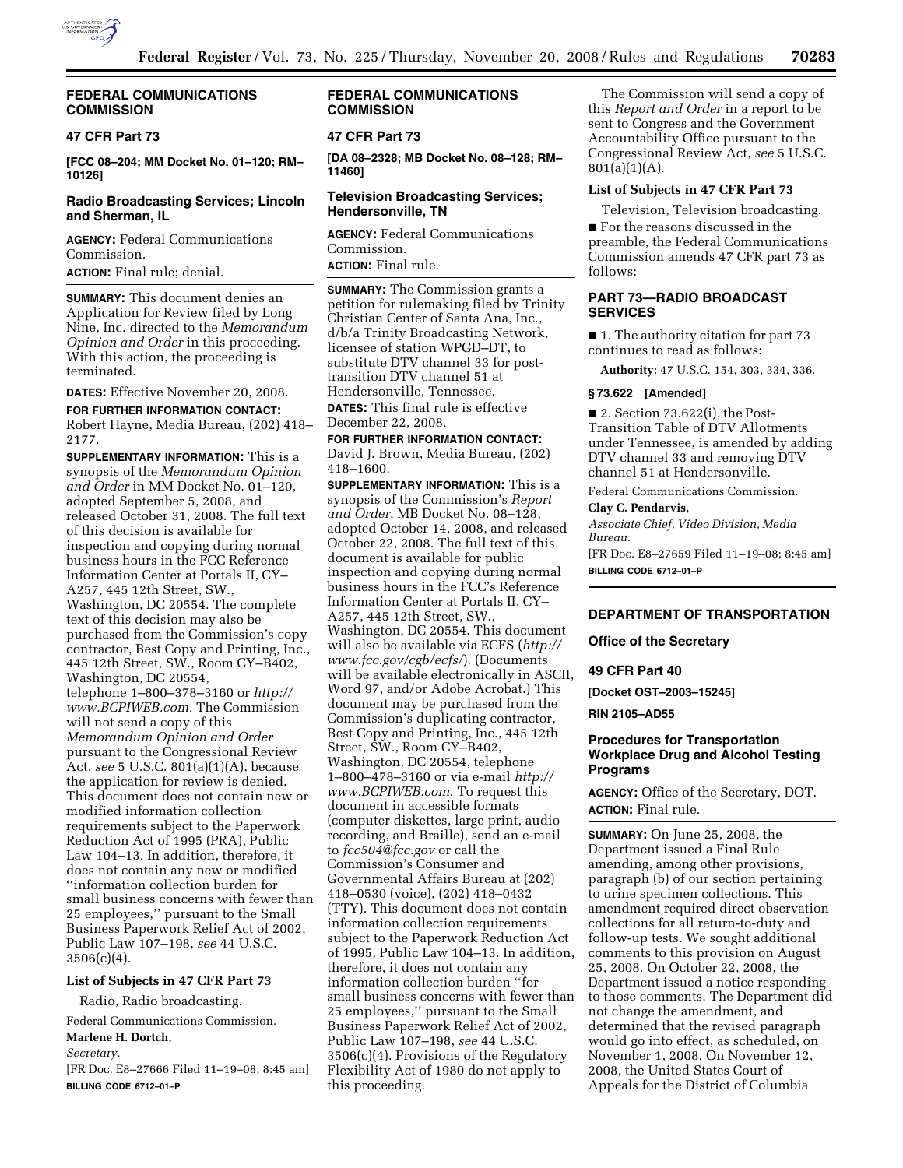

## **FEDERAL COMMUNICATIONS COMMISSION**

## **47 CFR Part 73**

**[FCC 08–204; MM Docket No. 01–120; RM– 10126]** 

# **Radio Broadcasting Services; Lincoln and Sherman, IL**

**AGENCY:** Federal Communications Commission.

**ACTION:** Final rule; denial.

**SUMMARY:** This document denies an Application for Review filed by Long Nine, Inc. directed to the *Memorandum Opinion and Order* in this proceeding. With this action, the proceeding is terminated.

## **DATES:** Effective November 20, 2008.

**FOR FURTHER INFORMATION CONTACT:**  Robert Hayne, Media Bureau, (202) 418– 2177.

**SUPPLEMENTARY INFORMATION:** This is a synopsis of the *Memorandum Opinion and Order* in MM Docket No. 01–120, adopted September 5, 2008, and released October 31, 2008. The full text of this decision is available for inspection and copying during normal business hours in the FCC Reference Information Center at Portals II, CY– A257, 445 12th Street, SW., Washington, DC 20554. The complete text of this decision may also be purchased from the Commission's copy contractor, Best Copy and Printing, Inc., 445 12th Street, SW., Room CY–B402, Washington, DC 20554, telephone 1–800–378–3160 or *http:// www.BCPIWEB.com.* The Commission will not send a copy of this *Memorandum Opinion and Order*  pursuant to the Congressional Review Act, *see* 5 U.S.C. 801(a)(1)(A), because the application for review is denied. This document does not contain new or modified information collection requirements subject to the Paperwork Reduction Act of 1995 (PRA), Public Law 104–13. In addition, therefore, it does not contain any new or modified ''information collection burden for small business concerns with fewer than 25 employees,'' pursuant to the Small Business Paperwork Relief Act of 2002, Public Law 107–198, *see* 44 U.S.C.  $3506(c)(4)$ .

# **List of Subjects in 47 CFR Part 73**

Radio, Radio broadcasting.

Federal Communications Commission. **Marlene H. Dortch,** 

#### *Secretary.*

[FR Doc. E8–27666 Filed 11–19–08; 8:45 am] **BILLING CODE 6712–01–P** 

# **FEDERAL COMMUNICATIONS COMMISSION**

## **47 CFR Part 73**

**[DA 08–2328; MB Docket No. 08–128; RM– 11460]** 

## **Television Broadcasting Services; Hendersonville, TN**

**AGENCY:** Federal Communications Commission. **ACTION:** Final rule.

**SUMMARY:** The Commission grants a petition for rulemaking filed by Trinity Christian Center of Santa Ana, Inc., d/b/a Trinity Broadcasting Network, licensee of station WPGD–DT, to substitute DTV channel 33 for posttransition DTV channel 51 at Hendersonville, Tennessee. **DATES:** This final rule is effective December 22, 2008.

# **FOR FURTHER INFORMATION CONTACT:**  David J. Brown, Media Bureau, (202) 418–1600.

**SUPPLEMENTARY INFORMATION:** This is a synopsis of the Commission's *Report and Order*, MB Docket No. 08–128, adopted October 14, 2008, and released October 22, 2008. The full text of this document is available for public inspection and copying during normal business hours in the FCC's Reference Information Center at Portals II, CY– A257, 445 12th Street, SW., Washington, DC 20554. This document will also be available via ECFS (*http:// www.fcc.gov/cgb/ecfs/*). (Documents will be available electronically in ASCII, Word 97, and/or Adobe Acrobat.) This document may be purchased from the Commission's duplicating contractor, Best Copy and Printing, Inc., 445 12th Street, SW., Room CY–B402, Washington, DC 20554, telephone 1–800–478–3160 or via e-mail *http:// www.BCPIWEB.com*. To request this document in accessible formats (computer diskettes, large print, audio recording, and Braille), send an e-mail to *fcc504@fcc.gov* or call the Commission's Consumer and Governmental Affairs Bureau at (202) 418–0530 (voice), (202) 418–0432 (TTY). This document does not contain information collection requirements subject to the Paperwork Reduction Act of 1995, Public Law 104–13. In addition, therefore, it does not contain any information collection burden ''for small business concerns with fewer than 25 employees,'' pursuant to the Small Business Paperwork Relief Act of 2002, Public Law 107–198, *see* 44 U.S.C. 3506(c)(4). Provisions of the Regulatory Flexibility Act of 1980 do not apply to this proceeding.

The Commission will send a copy of this *Report and Order* in a report to be sent to Congress and the Government Accountability Office pursuant to the Congressional Review Act, *see* 5 U.S.C.  $801(a)(1)(A)$ .

## **List of Subjects in 47 CFR Part 73**

Television, Television broadcasting.

■ For the reasons discussed in the preamble, the Federal Communications Commission amends 47 CFR part 73 as follows:

# **PART 73—RADIO BROADCAST SERVICES**

■ 1. The authority citation for part 73 continues to read as follows:

**Authority:** 47 U.S.C. 154, 303, 334, 336.

### **§ 73.622 [Amended]**

■ 2. Section 73.622(i), the Post-Transition Table of DTV Allotments under Tennessee, is amended by adding DTV channel 33 and removing DTV channel 51 at Hendersonville.

Federal Communications Commission.

# **Clay C. Pendarvis,**

*Associate Chief, Video Division, Media Bureau.*  [FR Doc. E8–27659 Filed 11–19–08; 8:45 am] **BILLING CODE 6712–01–P** 

## **DEPARTMENT OF TRANSPORTATION**

### **Office of the Secretary**

### **49 CFR Part 40**

**[Docket OST–2003–15245]** 

**RIN 2105–AD55** 

# **Procedures for Transportation Workplace Drug and Alcohol Testing Programs**

**AGENCY:** Office of the Secretary, DOT. **ACTION:** Final rule.

**SUMMARY:** On June 25, 2008, the Department issued a Final Rule amending, among other provisions, paragraph (b) of our section pertaining to urine specimen collections. This amendment required direct observation collections for all return-to-duty and follow-up tests. We sought additional comments to this provision on August 25, 2008. On October 22, 2008, the Department issued a notice responding to those comments. The Department did not change the amendment, and determined that the revised paragraph would go into effect, as scheduled, on November 1, 2008. On November 12, 2008, the United States Court of Appeals for the District of Columbia